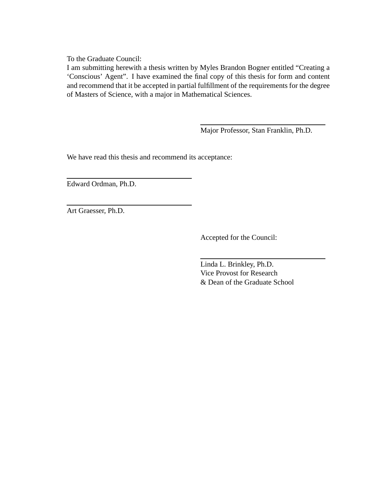To the Graduate Council:

I am submitting herewith a thesis written by Myles Brandon Bogner entitled "Creating a 'Conscious' Agent". I have examined the final copy of this thesis for form and content and recommend that it be accepted in partial fulfillment of the requirements for the degree of Masters of Science, with a major in Mathematical Sciences.

Major Professor, Stan Franklin, Ph.D.

We have read this thesis and recommend its acceptance:

Edward Ordman, Ph.D.

Art Graesser, Ph.D.

Accepted for the Council:

Linda L. Brinkley, Ph.D. Vice Provost for Research & Dean of the Graduate School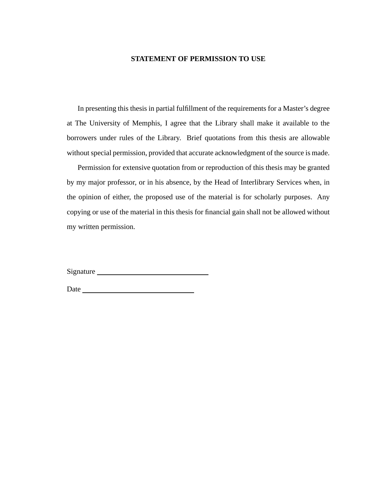#### **STATEMENT OF PERMISSION TO USE**

In presenting this thesis in partial fulfillment of the requirements for a Master's degree at The University of Memphis, I agree that the Library shall make it available to the borrowers under rules of the Library. Brief quotations from this thesis are allowable without special permission, provided that accurate acknowledgment of the source is made.

Permission for extensive quotation from or reproduction of this thesis may be granted by my major professor, or in his absence, by the Head of Interlibrary Services when, in the opinion of either, the proposed use of the material is for scholarly purposes. Any copying or use of the material in this thesis for financial gain shall not be allowed without my written permission.

Signature

Date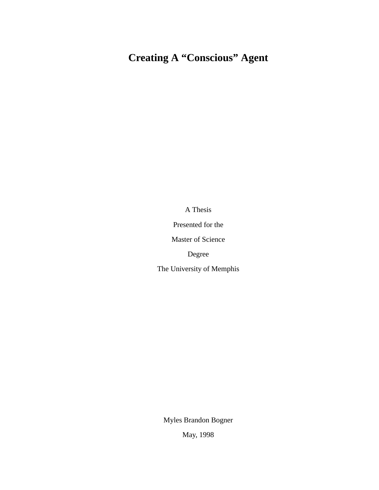# **Creating A "Conscious" Agent**

A Thesis

Presented for the

Master of Science

Degree

The University of Memphis

Myles Brandon Bogner

May, 1998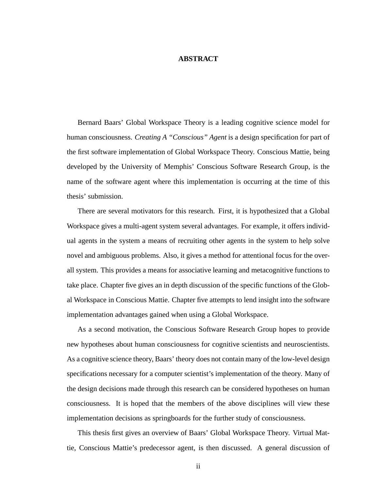#### **ABSTRACT**

Bernard Baars' Global Workspace Theory is a leading cognitive science model for human consciousness. *Creating A "Conscious" Agent* is a design specification for part of the first software implementation of Global Workspace Theory. Conscious Mattie, being developed by the University of Memphis' Conscious Software Research Group, is the name of the software agent where this implementation is occurring at the time of this thesis' submission.

There are several motivators for this research. First, it is hypothesized that a Global Workspace gives a multi-agent system several advantages. For example, it offers individual agents in the system a means of recruiting other agents in the system to help solve novel and ambiguous problems. Also, it gives a method for attentional focus for the overall system. This provides a means for associative learning and metacognitive functions to take place. Chapter five gives an in depth discussion of the specific functions of the Global Workspace in Conscious Mattie. Chapter five attempts to lend insight into the software implementation advantages gained when using a Global Workspace.

As a second motivation, the Conscious Software Research Group hopes to provide new hypotheses about human consciousness for cognitive scientists and neuroscientists. As a cognitive science theory, Baars' theory does not contain many of the low-level design specifications necessary for a computer scientist's implementation of the theory. Many of the design decisions made through this research can be considered hypotheses on human consciousness. It is hoped that the members of the above disciplines will view these implementation decisions as springboards for the further study of consciousness.

This thesis first gives an overview of Baars' Global Workspace Theory. Virtual Mattie, Conscious Mattie's predecessor agent, is then discussed. A general discussion of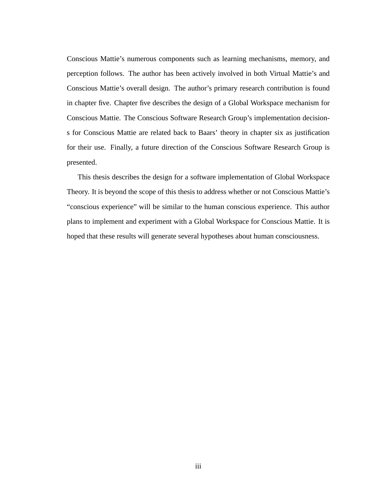Conscious Mattie's numerous components such as learning mechanisms, memory, and perception follows. The author has been actively involved in both Virtual Mattie's and Conscious Mattie's overall design. The author's primary research contribution is found in chapter five. Chapter five describes the design of a Global Workspace mechanism for Conscious Mattie. The Conscious Software Research Group's implementation decisions for Conscious Mattie are related back to Baars' theory in chapter six as justification for their use. Finally, a future direction of the Conscious Software Research Group is presented.

This thesis describes the design for a software implementation of Global Workspace Theory. It is beyond the scope of this thesis to address whether or not Conscious Mattie's "conscious experience" will be similar to the human conscious experience. This author plans to implement and experiment with a Global Workspace for Conscious Mattie. It is hoped that these results will generate several hypotheses about human consciousness.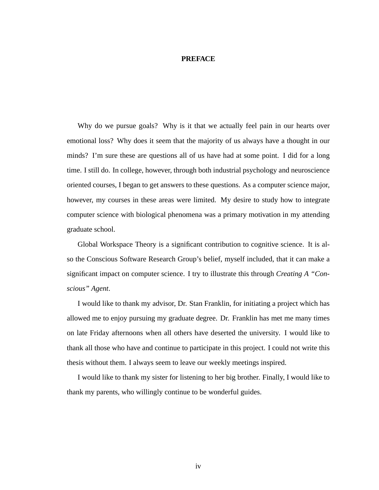#### **PREFACE**

Why do we pursue goals? Why is it that we actually feel pain in our hearts over emotional loss? Why does it seem that the majority of us always have a thought in our minds? I'm sure these are questions all of us have had at some point. I did for a long time. I still do. In college, however, through both industrial psychology and neuroscience oriented courses, I began to get answers to these questions. As a computer science major, however, my courses in these areas were limited. My desire to study how to integrate computer science with biological phenomena was a primary motivation in my attending graduate school.

Global Workspace Theory is a significant contribution to cognitive science. It is also the Conscious Software Research Group's belief, myself included, that it can make a significant impact on computer science. I try to illustrate this through *Creating A "Conscious" Agent*.

I would like to thank my advisor, Dr. Stan Franklin, for initiating a project which has allowed me to enjoy pursuing my graduate degree. Dr. Franklin has met me many times on late Friday afternoons when all others have deserted the university. I would like to thank all those who have and continue to participate in this project. I could not write this thesis without them. I always seem to leave our weekly meetings inspired.

I would like to thank my sister for listening to her big brother. Finally, I would like to thank my parents, who willingly continue to be wonderful guides.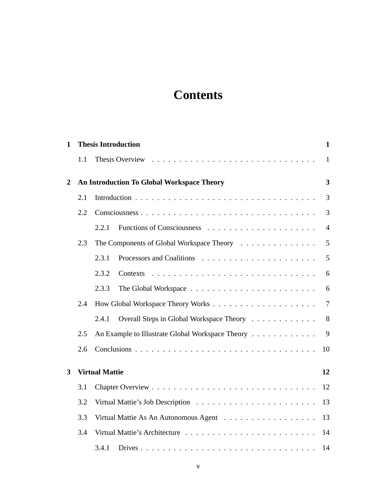# **Contents**

| $\mathbf{1}$   | <b>Thesis Introduction</b> |                                                   |                |  |  |  |  |  |  |
|----------------|----------------------------|---------------------------------------------------|----------------|--|--|--|--|--|--|
|                | 1.1                        | Thesis Overview                                   | $\mathbf{1}$   |  |  |  |  |  |  |
| $\overline{2}$ |                            | 3<br>An Introduction To Global Workspace Theory   |                |  |  |  |  |  |  |
|                | 2.1                        |                                                   | 3              |  |  |  |  |  |  |
|                | 2.2                        |                                                   | 3              |  |  |  |  |  |  |
|                |                            | 2.2.1                                             | $\overline{4}$ |  |  |  |  |  |  |
|                | 2.3                        | The Components of Global Workspace Theory         | 5              |  |  |  |  |  |  |
|                |                            | 2.3.1                                             | 5              |  |  |  |  |  |  |
|                |                            | 2.3.2<br>Contexts                                 | 6              |  |  |  |  |  |  |
|                |                            | 2.3.3                                             | 6              |  |  |  |  |  |  |
|                | 2.4                        |                                                   | 7              |  |  |  |  |  |  |
|                |                            | Overall Steps in Global Workspace Theory<br>2.4.1 | 8              |  |  |  |  |  |  |
|                | 2.5                        | An Example to Illustrate Global Workspace Theory  | 9              |  |  |  |  |  |  |
|                | 2.6                        |                                                   | 10             |  |  |  |  |  |  |
| 3              |                            | <b>Virtual Mattie</b>                             | 12             |  |  |  |  |  |  |
|                | 3.1                        |                                                   | 12             |  |  |  |  |  |  |
|                | 3.2                        |                                                   | 13             |  |  |  |  |  |  |
|                | 3.3                        | Virtual Mattie As An Autonomous Agent             | 13             |  |  |  |  |  |  |
|                | 3.4                        |                                                   | 14             |  |  |  |  |  |  |
|                |                            | 3.4.1                                             | 14             |  |  |  |  |  |  |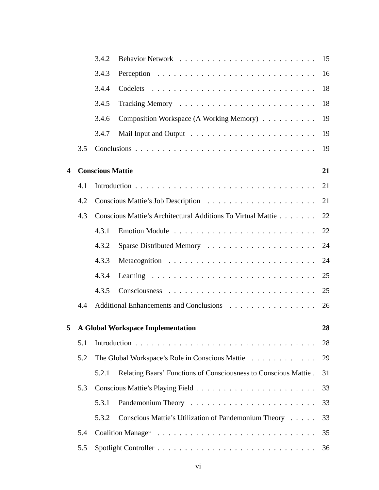|   |     | 3.4.2                                           |                                                                 | 15 |
|---|-----|-------------------------------------------------|-----------------------------------------------------------------|----|
|   |     | 3.4.3                                           |                                                                 | 16 |
|   |     | 3.4.4                                           |                                                                 | 18 |
|   |     | 3.4.5                                           |                                                                 | 18 |
|   |     | 3.4.6                                           | Composition Workspace (A Working Memory)                        | 19 |
|   |     | 3.4.7                                           |                                                                 | 19 |
|   | 3.5 |                                                 |                                                                 | 19 |
| 4 |     | <b>Conscious Mattie</b>                         |                                                                 | 21 |
|   | 4.1 |                                                 |                                                                 | 21 |
|   | 4.2 |                                                 |                                                                 | 21 |
|   | 4.3 |                                                 | Conscious Mattie's Architectural Additions To Virtual Mattie    | 22 |
|   |     | 4.3.1                                           |                                                                 | 22 |
|   |     | 4.3.2                                           |                                                                 | 24 |
|   |     | 4.3.3                                           |                                                                 | 24 |
|   |     | 4.3.4                                           |                                                                 | 25 |
|   |     | 4.3.5                                           |                                                                 | 25 |
|   | 4.4 |                                                 | Additional Enhancements and Conclusions                         | 26 |
| 5 |     |                                                 | <b>A Global Workspace Implementation</b>                        | 28 |
|   | 5.1 |                                                 |                                                                 |    |
|   | 5.2 | The Global Workspace's Role in Conscious Mattie |                                                                 | 29 |
|   |     | 5.2.1                                           | Relating Baars' Functions of Consciousness to Conscious Mattie. | 31 |
|   | 5.3 |                                                 |                                                                 | 33 |
|   |     | 5.3.1                                           |                                                                 | 33 |
|   |     | 5.3.2                                           | Conscious Mattie's Utilization of Pandemonium Theory            | 33 |
|   | 5.4 |                                                 |                                                                 |    |
|   | 5.5 |                                                 |                                                                 |    |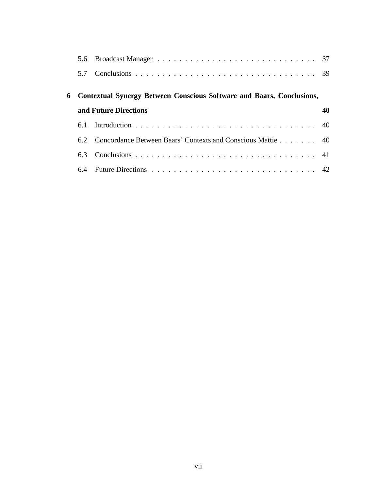| 5.7                                                                     |                                                                 |  |  |
|-------------------------------------------------------------------------|-----------------------------------------------------------------|--|--|
| 6 Contextual Synergy Between Conscious Software and Baars, Conclusions, |                                                                 |  |  |
| and Future Directions                                                   |                                                                 |  |  |
|                                                                         |                                                                 |  |  |
|                                                                         | 6.2 Concordance Between Baars' Contexts and Conscious Mattie 40 |  |  |
| 6.3                                                                     |                                                                 |  |  |
| 6.4                                                                     |                                                                 |  |  |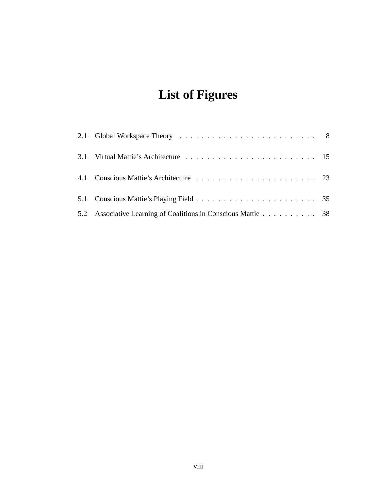# **List of Figures**

| 5.2 Associative Learning of Coalitions in Conscious Mattie 38 |  |
|---------------------------------------------------------------|--|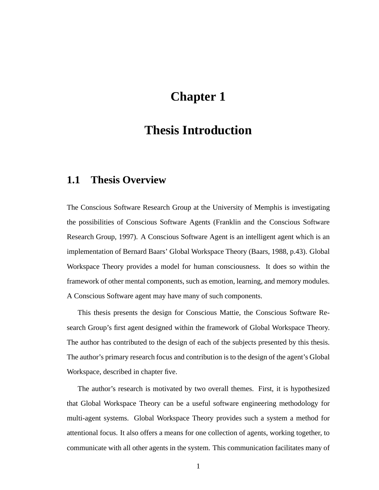# **Chapter 1**

## **Thesis Introduction**

### **1.1 Thesis Overview**

The Conscious Software Research Group at the University of Memphis is investigating the possibilities of Conscious Software Agents (Franklin and the Conscious Software Research Group, 1997). A Conscious Software Agent is an intelligent agent which is an implementation of Bernard Baars' Global Workspace Theory (Baars, 1988, p.43). Global Workspace Theory provides a model for human consciousness. It does so within the framework of other mental components, such as emotion, learning, and memory modules. A Conscious Software agent may have many of such components.

This thesis presents the design for Conscious Mattie, the Conscious Software Research Group's first agent designed within the framework of Global Workspace Theory. The author has contributed to the design of each of the subjects presented by this thesis. The author's primary research focus and contribution is to the design of the agent's Global Workspace, described in chapter five.

The author's research is motivated by two overall themes. First, it is hypothesized that Global Workspace Theory can be a useful software engineering methodology for multi-agent systems. Global Workspace Theory provides such a system a method for attentional focus. It also offers a means for one collection of agents, working together, to communicate with all other agents in the system. This communication facilitates many of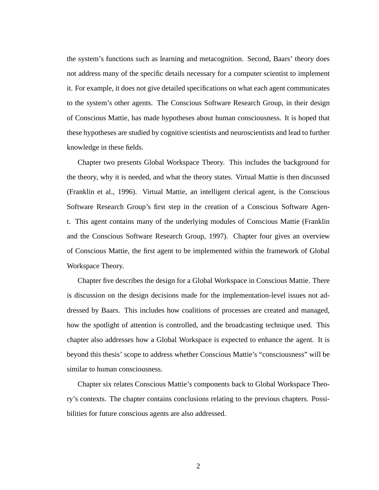the system's functions such as learning and metacognition. Second, Baars' theory does not address many of the specific details necessary for a computer scientist to implement it. For example, it does not give detailed specifications on what each agent communicates to the system's other agents. The Conscious Software Research Group, in their design of Conscious Mattie, has made hypotheses about human consciousness. It is hoped that these hypotheses are studied by cognitive scientists and neuroscientists and lead to further knowledge in these fields.

Chapter two presents Global Workspace Theory. This includes the background for the theory, why it is needed, and what the theory states. Virtual Mattie is then discussed (Franklin et al., 1996). Virtual Mattie, an intelligent clerical agent, is the Conscious Software Research Group's first step in the creation of a Conscious Software Agent. This agent contains many of the underlying modules of Conscious Mattie (Franklin and the Conscious Software Research Group, 1997). Chapter four gives an overview of Conscious Mattie, the first agent to be implemented within the framework of Global Workspace Theory.

Chapter five describes the design for a Global Workspace in Conscious Mattie. There is discussion on the design decisions made for the implementation-level issues not addressed by Baars. This includes how coalitions of processes are created and managed, how the spotlight of attention is controlled, and the broadcasting technique used. This chapter also addresses how a Global Workspace is expected to enhance the agent. It is beyond this thesis' scope to address whether Conscious Mattie's "consciousness" will be similar to human consciousness.

Chapter six relates Conscious Mattie's components back to Global Workspace Theory's contexts. The chapter contains conclusions relating to the previous chapters. Possibilities for future conscious agents are also addressed.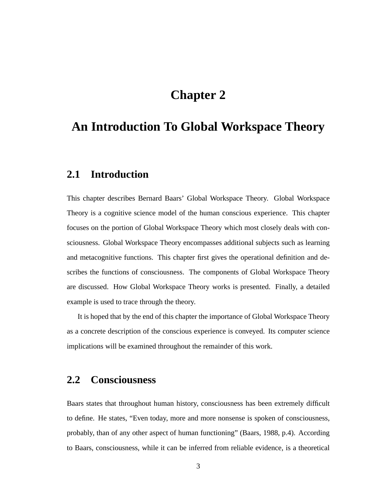# **Chapter 2**

## **An Introduction To Global Workspace Theory**

### **2.1 Introduction**

This chapter describes Bernard Baars' Global Workspace Theory. Global Workspace Theory is a cognitive science model of the human conscious experience. This chapter focuses on the portion of Global Workspace Theory which most closely deals with consciousness. Global Workspace Theory encompasses additional subjects such as learning and metacognitive functions. This chapter first gives the operational definition and describes the functions of consciousness. The components of Global Workspace Theory are discussed. How Global Workspace Theory works is presented. Finally, a detailed example is used to trace through the theory.

It is hoped that by the end of this chapter the importance of Global Workspace Theory as a concrete description of the conscious experience is conveyed. Its computer science implications will be examined throughout the remainder of this work.

### **2.2 Consciousness**

Baars states that throughout human history, consciousness has been extremely difficult to define. He states, "Even today, more and more nonsense is spoken of consciousness, probably, than of any other aspect of human functioning" (Baars, 1988, p.4). According to Baars, consciousness, while it can be inferred from reliable evidence, is a theoretical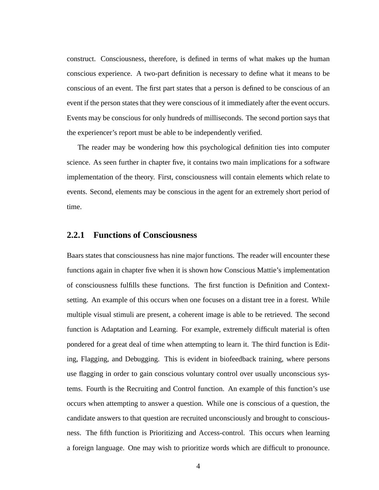construct. Consciousness, therefore, is defined in terms of what makes up the human conscious experience. A two-part definition is necessary to define what it means to be conscious of an event. The first part states that a person is defined to be conscious of an event if the person states that they were conscious of it immediately after the event occurs. Events may be conscious for only hundreds of milliseconds. The second portion says that the experiencer's report must be able to be independently verified.

The reader may be wondering how this psychological definition ties into computer science. As seen further in chapter five, it contains two main implications for a software implementation of the theory. First, consciousness will contain elements which relate to events. Second, elements may be conscious in the agent for an extremely short period of time.

#### **2.2.1 Functions of Consciousness**

Baars states that consciousness has nine major functions. The reader will encounter these functions again in chapter five when it is shown how Conscious Mattie's implementation of consciousness fulfills these functions. The first function is Definition and Contextsetting. An example of this occurs when one focuses on a distant tree in a forest. While multiple visual stimuli are present, a coherent image is able to be retrieved. The second function is Adaptation and Learning. For example, extremely difficult material is often pondered for a great deal of time when attempting to learn it. The third function is Editing, Flagging, and Debugging. This is evident in biofeedback training, where persons use flagging in order to gain conscious voluntary control over usually unconscious systems. Fourth is the Recruiting and Control function. An example of this function's use occurs when attempting to answer a question. While one is conscious of a question, the candidate answers to that question are recruited unconsciously and brought to consciousness. The fifth function is Prioritizing and Access-control. This occurs when learning a foreign language. One may wish to prioritize words which are difficult to pronounce.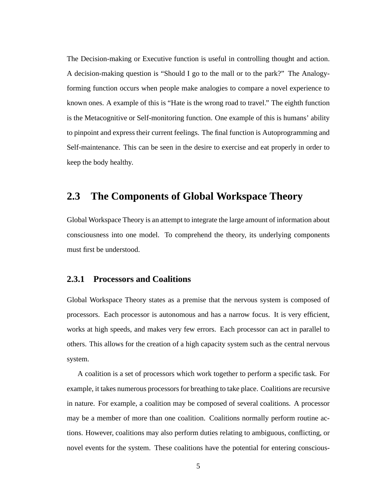The Decision-making or Executive function is useful in controlling thought and action. A decision-making question is "Should I go to the mall or to the park?" The Analogyforming function occurs when people make analogies to compare a novel experience to known ones. A example of this is "Hate is the wrong road to travel." The eighth function is the Metacognitive or Self-monitoring function. One example of this is humans' ability to pinpoint and express their current feelings. The final function is Autoprogramming and Self-maintenance. This can be seen in the desire to exercise and eat properly in order to keep the body healthy.

### **2.3 The Components of Global Workspace Theory**

Global Workspace Theory is an attempt to integrate the large amount of information about consciousness into one model. To comprehend the theory, its underlying components must first be understood.

#### **2.3.1 Processors and Coalitions**

Global Workspace Theory states as a premise that the nervous system is composed of processors. Each processor is autonomous and has a narrow focus. It is very efficient, works at high speeds, and makes very few errors. Each processor can act in parallel to others. This allows for the creation of a high capacity system such as the central nervous system.

A coalition is a set of processors which work together to perform a specific task. For example, it takes numerous processors for breathing to take place. Coalitions are recursive in nature. For example, a coalition may be composed of several coalitions. A processor may be a member of more than one coalition. Coalitions normally perform routine actions. However, coalitions may also perform duties relating to ambiguous, conflicting, or novel events for the system. These coalitions have the potential for entering conscious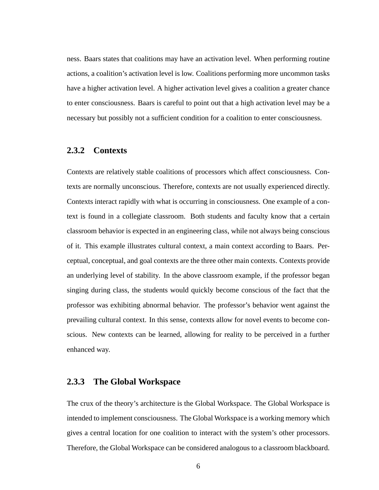ness. Baars states that coalitions may have an activation level. When performing routine actions, a coalition's activation level is low. Coalitions performing more uncommon tasks have a higher activation level. A higher activation level gives a coalition a greater chance to enter consciousness. Baars is careful to point out that a high activation level may be a necessary but possibly not a sufficient condition for a coalition to enter consciousness.

#### **2.3.2 Contexts**

Contexts are relatively stable coalitions of processors which affect consciousness. Contexts are normally unconscious. Therefore, contexts are not usually experienced directly. Contexts interact rapidly with what is occurring in consciousness. One example of a context is found in a collegiate classroom. Both students and faculty know that a certain classroom behavior is expected in an engineering class, while not always being conscious of it. This example illustrates cultural context, a main context according to Baars. Perceptual, conceptual, and goal contexts are the three other main contexts. Contexts provide an underlying level of stability. In the above classroom example, if the professor began singing during class, the students would quickly become conscious of the fact that the professor was exhibiting abnormal behavior. The professor's behavior went against the prevailing cultural context. In this sense, contexts allow for novel events to become conscious. New contexts can be learned, allowing for reality to be perceived in a further enhanced way.

#### **2.3.3 The Global Workspace**

The crux of the theory's architecture is the Global Workspace. The Global Workspace is intended to implement consciousness. The Global Workspace is a working memory which gives a central location for one coalition to interact with the system's other processors. Therefore, the Global Workspace can be considered analogous to a classroom blackboard.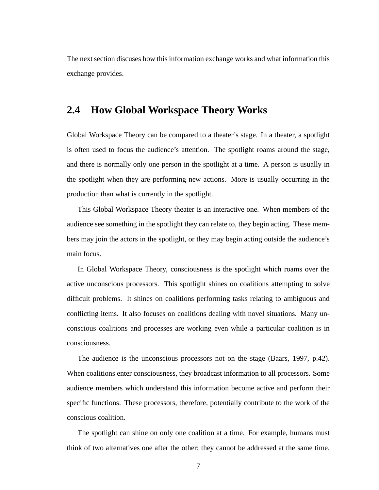The next section discuses how this information exchange works and what information this exchange provides.

### **2.4 How Global Workspace Theory Works**

Global Workspace Theory can be compared to a theater's stage. In a theater, a spotlight is often used to focus the audience's attention. The spotlight roams around the stage, and there is normally only one person in the spotlight at a time. A person is usually in the spotlight when they are performing new actions. More is usually occurring in the production than what is currently in the spotlight.

This Global Workspace Theory theater is an interactive one. When members of the audience see something in the spotlight they can relate to, they begin acting. These members may join the actors in the spotlight, or they may begin acting outside the audience's main focus.

In Global Workspace Theory, consciousness is the spotlight which roams over the active unconscious processors. This spotlight shines on coalitions attempting to solve difficult problems. It shines on coalitions performing tasks relating to ambiguous and conflicting items. It also focuses on coalitions dealing with novel situations. Many unconscious coalitions and processes are working even while a particular coalition is in consciousness.

The audience is the unconscious processors not on the stage (Baars, 1997, p.42). When coalitions enter consciousness, they broadcast information to all processors. Some audience members which understand this information become active and perform their specific functions. These processors, therefore, potentially contribute to the work of the conscious coalition.

The spotlight can shine on only one coalition at a time. For example, humans must think of two alternatives one after the other; they cannot be addressed at the same time.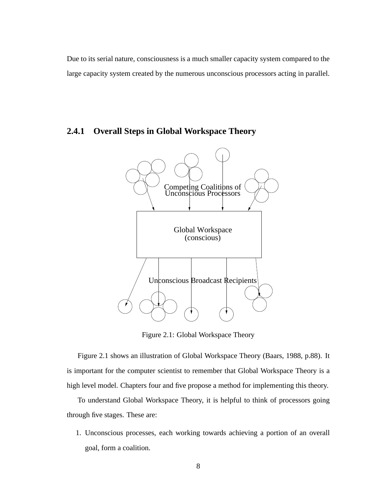Due to its serial nature, consciousness is a much smaller capacity system compared to the large capacity system created by the numerous unconscious processors acting in parallel.

### **2.4.1 Overall Steps in Global Workspace Theory**



Figure 2.1: Global Workspace Theory

Figure 2.1 shows an illustration of Global Workspace Theory (Baars, 1988, p.88). It is important for the computer scientist to remember that Global Workspace Theory is a high level model. Chapters four and five propose a method for implementing this theory.

To understand Global Workspace Theory, it is helpful to think of processors going through five stages. These are:

1. Unconscious processes, each working towards achieving a portion of an overall goal, form a coalition.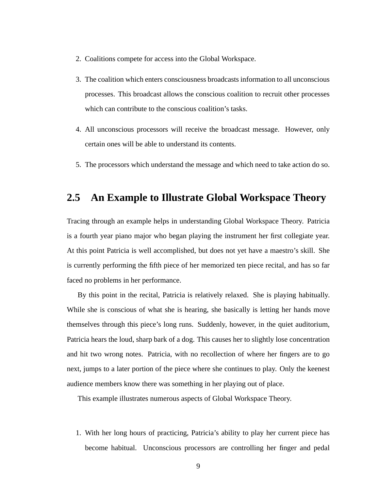- 2. Coalitions compete for access into the Global Workspace.
- 3. The coalition which enters consciousness broadcasts information to all unconscious processes. This broadcast allows the conscious coalition to recruit other processes which can contribute to the conscious coalition's tasks.
- 4. All unconscious processors will receive the broadcast message. However, only certain ones will be able to understand its contents.
- 5. The processors which understand the message and which need to take action do so.

### **2.5 An Example to Illustrate Global Workspace Theory**

Tracing through an example helps in understanding Global Workspace Theory. Patricia is a fourth year piano major who began playing the instrument her first collegiate year. At this point Patricia is well accomplished, but does not yet have a maestro's skill. She is currently performing the fifth piece of her memorized ten piece recital, and has so far faced no problems in her performance.

By this point in the recital, Patricia is relatively relaxed. She is playing habitually. While she is conscious of what she is hearing, she basically is letting her hands move themselves through this piece's long runs. Suddenly, however, in the quiet auditorium, Patricia hears the loud, sharp bark of a dog. This causes her to slightly lose concentration and hit two wrong notes. Patricia, with no recollection of where her fingers are to go next, jumps to a later portion of the piece where she continues to play. Only the keenest audience members know there was something in her playing out of place.

This example illustrates numerous aspects of Global Workspace Theory.

1. With her long hours of practicing, Patricia's ability to play her current piece has become habitual. Unconscious processors are controlling her finger and pedal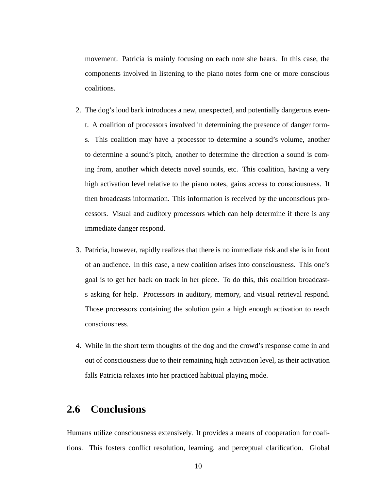movement. Patricia is mainly focusing on each note she hears. In this case, the components involved in listening to the piano notes form one or more conscious coalitions.

- 2. The dog's loud bark introduces a new, unexpected, and potentially dangerous event. A coalition of processors involved in determining the presence of danger forms. This coalition may have a processor to determine a sound's volume, another to determine a sound's pitch, another to determine the direction a sound is coming from, another which detects novel sounds, etc. This coalition, having a very high activation level relative to the piano notes, gains access to consciousness. It then broadcasts information. This information is received by the unconscious processors. Visual and auditory processors which can help determine if there is any immediate danger respond.
- 3. Patricia, however, rapidly realizes that there is no immediate risk and she is in front of an audience. In this case, a new coalition arises into consciousness. This one's goal is to get her back on track in her piece. To do this, this coalition broadcasts asking for help. Processors in auditory, memory, and visual retrieval respond. Those processors containing the solution gain a high enough activation to reach consciousness.
- 4. While in the short term thoughts of the dog and the crowd's response come in and out of consciousness due to their remaining high activation level, as their activation falls Patricia relaxes into her practiced habitual playing mode.

### **2.6 Conclusions**

Humans utilize consciousness extensively. It provides a means of cooperation for coalitions. This fosters conflict resolution, learning, and perceptual clarification. Global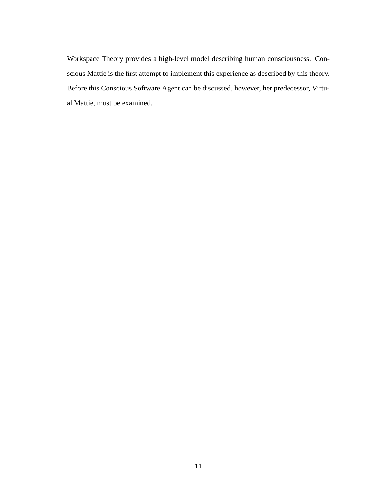Workspace Theory provides a high-level model describing human consciousness. Conscious Mattie is the first attempt to implement this experience as described by this theory. Before this Conscious Software Agent can be discussed, however, her predecessor, Virtual Mattie, must be examined.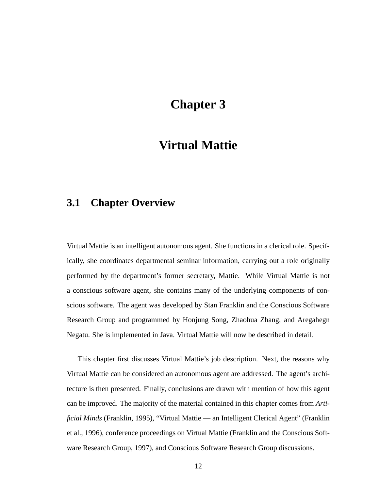# **Chapter 3**

## **Virtual Mattie**

### **3.1 Chapter Overview**

Virtual Mattie is an intelligent autonomous agent. She functions in a clerical role. Specifically, she coordinates departmental seminar information, carrying out a role originally performed by the department's former secretary, Mattie. While Virtual Mattie is not a conscious software agent, she contains many of the underlying components of conscious software. The agent was developed by Stan Franklin and the Conscious Software Research Group and programmed by Honjung Song, Zhaohua Zhang, and Aregahegn Negatu. She is implemented in Java. Virtual Mattie will now be described in detail.

This chapter first discusses Virtual Mattie's job description. Next, the reasons why Virtual Mattie can be considered an autonomous agent are addressed. The agent's architecture is then presented. Finally, conclusions are drawn with mention of how this agent can be improved. The majority of the material contained in this chapter comes from *Artificial Minds* (Franklin, 1995), "Virtual Mattie — an Intelligent Clerical Agent" (Franklin et al., 1996), conference proceedings on Virtual Mattie (Franklin and the Conscious Software Research Group, 1997), and Conscious Software Research Group discussions.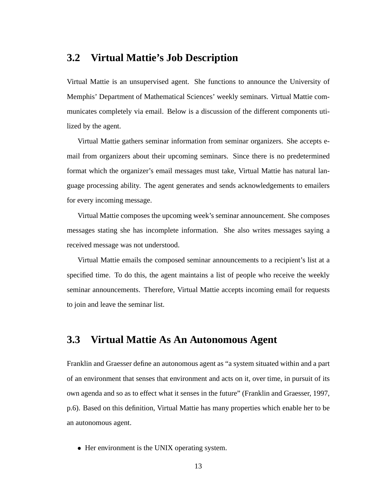### **3.2 Virtual Mattie's Job Description**

Virtual Mattie is an unsupervised agent. She functions to announce the University of Memphis' Department of Mathematical Sciences' weekly seminars. Virtual Mattie communicates completely via email. Below is a discussion of the different components utilized by the agent.

Virtual Mattie gathers seminar information from seminar organizers. She accepts email from organizers about their upcoming seminars. Since there is no predetermined format which the organizer's email messages must take, Virtual Mattie has natural language processing ability. The agent generates and sends acknowledgements to emailers for every incoming message.

Virtual Mattie composes the upcoming week's seminar announcement. She composes messages stating she has incomplete information. She also writes messages saying a received message was not understood.

Virtual Mattie emails the composed seminar announcements to a recipient's list at a specified time. To do this, the agent maintains a list of people who receive the weekly seminar announcements. Therefore, Virtual Mattie accepts incoming email for requests to join and leave the seminar list.

### **3.3 Virtual Mattie As An Autonomous Agent**

Franklin and Graesser define an autonomous agent as "a system situated within and a part of an environment that senses that environment and acts on it, over time, in pursuit of its own agenda and so as to effect what it senses in the future" (Franklin and Graesser, 1997, p.6). Based on this definition, Virtual Mattie has many properties which enable her to be an autonomous agent.

Her environment is the UNIX operating system.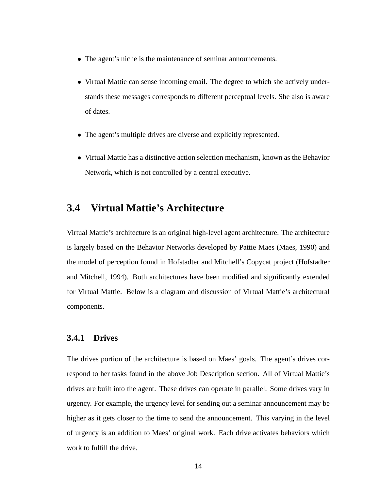- The agent's niche is the maintenance of seminar announcements.
- Virtual Mattie can sense incoming email. The degree to which she actively understands these messages corresponds to different perceptual levels. She also is aware of dates.
- The agent's multiple drives are diverse and explicitly represented.
- Virtual Mattie has a distinctive action selection mechanism, known as the Behavior Network, which is not controlled by a central executive.

### **3.4 Virtual Mattie's Architecture**

Virtual Mattie's architecture is an original high-level agent architecture. The architecture is largely based on the Behavior Networks developed by Pattie Maes (Maes, 1990) and the model of perception found in Hofstadter and Mitchell's Copycat project (Hofstadter and Mitchell, 1994). Both architectures have been modified and significantly extended for Virtual Mattie. Below is a diagram and discussion of Virtual Mattie's architectural components.

#### **3.4.1 Drives**

The drives portion of the architecture is based on Maes' goals. The agent's drives correspond to her tasks found in the above Job Description section. All of Virtual Mattie's drives are built into the agent. These drives can operate in parallel. Some drives vary in urgency. For example, the urgency level for sending out a seminar announcement may be higher as it gets closer to the time to send the announcement. This varying in the level of urgency is an addition to Maes' original work. Each drive activates behaviors which work to fulfill the drive.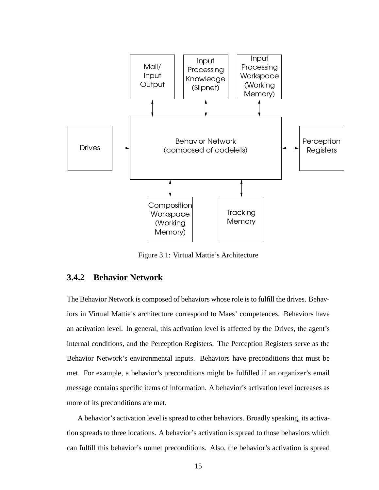

Figure 3.1: Virtual Mattie's Architecture

### **3.4.2 Behavior Network**

The Behavior Network is composed of behaviors whose role is to fulfill the drives. Behaviors in Virtual Mattie's architecture correspond to Maes' competences. Behaviors have an activation level. In general, this activation level is affected by the Drives, the agent's internal conditions, and the Perception Registers. The Perception Registers serve as the Behavior Network's environmental inputs. Behaviors have preconditions that must be met. For example, a behavior's preconditions might be fulfilled if an organizer's email message contains specific items of information. A behavior's activation level increases as more of its preconditions are met.

A behavior's activation level is spread to other behaviors. Broadly speaking, its activation spreads to three locations. A behavior's activation is spread to those behaviors which can fulfill this behavior's unmet preconditions. Also, the behavior's activation is spread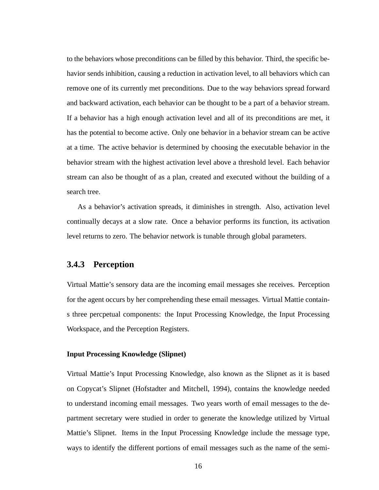to the behaviors whose preconditions can be filled by this behavior. Third, the specific behavior sends inhibition, causing a reduction in activation level, to all behaviors which can remove one of its currently met preconditions. Due to the way behaviors spread forward and backward activation, each behavior can be thought to be a part of a behavior stream. If a behavior has a high enough activation level and all of its preconditions are met, it has the potential to become active. Only one behavior in a behavior stream can be active at a time. The active behavior is determined by choosing the executable behavior in the behavior stream with the highest activation level above a threshold level. Each behavior stream can also be thought of as a plan, created and executed without the building of a search tree.

As a behavior's activation spreads, it diminishes in strength. Also, activation level continually decays at a slow rate. Once a behavior performs its function, its activation level returns to zero. The behavior network is tunable through global parameters.

#### **3.4.3 Perception**

Virtual Mattie's sensory data are the incoming email messages she receives. Perception for the agent occurs by her comprehending these email messages. Virtual Mattie contains three percpetual components: the Input Processing Knowledge, the Input Processing Workspace, and the Perception Registers.

#### **Input Processing Knowledge (Slipnet)**

Virtual Mattie's Input Processing Knowledge, also known as the Slipnet as it is based on Copycat's Slipnet (Hofstadter and Mitchell, 1994), contains the knowledge needed to understand incoming email messages. Two years worth of email messages to the department secretary were studied in order to generate the knowledge utilized by Virtual Mattie's Slipnet. Items in the Input Processing Knowledge include the message type, ways to identify the different portions of email messages such as the name of the semi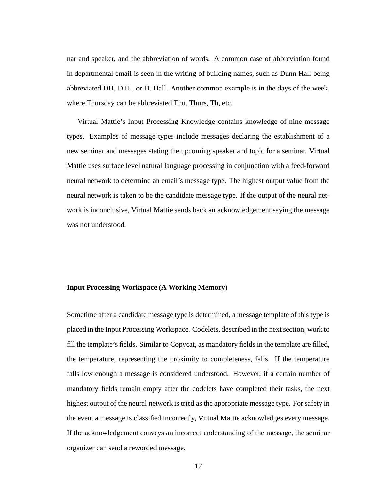nar and speaker, and the abbreviation of words. A common case of abbreviation found in departmental email is seen in the writing of building names, such as Dunn Hall being abbreviated DH, D.H., or D. Hall. Another common example is in the days of the week, where Thursday can be abbreviated Thu, Thurs, Th, etc.

Virtual Mattie's Input Processing Knowledge contains knowledge of nine message types. Examples of message types include messages declaring the establishment of a new seminar and messages stating the upcoming speaker and topic for a seminar. Virtual Mattie uses surface level natural language processing in conjunction with a feed-forward neural network to determine an email's message type. The highest output value from the neural network is taken to be the candidate message type. If the output of the neural network is inconclusive, Virtual Mattie sends back an acknowledgement saying the message was not understood.

#### **Input Processing Workspace (A Working Memory)**

Sometime after a candidate message type is determined, a message template of this type is placed in the Input Processing Workspace. Codelets, described in the next section, work to fill the template's fields. Similar to Copycat, as mandatory fields in the template are filled, the temperature, representing the proximity to completeness, falls. If the temperature falls low enough a message is considered understood. However, if a certain number of mandatory fields remain empty after the codelets have completed their tasks, the next highest output of the neural network is tried as the appropriate message type. For safety in the event a message is classified incorrectly, Virtual Mattie acknowledges every message. If the acknowledgement conveys an incorrect understanding of the message, the seminar organizer can send a reworded message.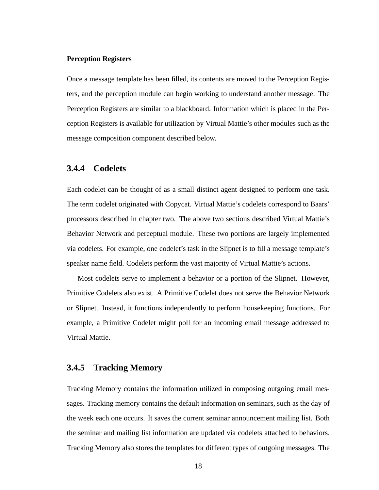#### **Perception Registers**

Once a message template has been filled, its contents are moved to the Perception Registers, and the perception module can begin working to understand another message. The Perception Registers are similar to a blackboard. Information which is placed in the Perception Registers is available for utilization by Virtual Mattie's other modules such as the message composition component described below.

#### **3.4.4 Codelets**

Each codelet can be thought of as a small distinct agent designed to perform one task. The term codelet originated with Copycat. Virtual Mattie's codelets correspond to Baars' processors described in chapter two. The above two sections described Virtual Mattie's Behavior Network and perceptual module. These two portions are largely implemented via codelets. For example, one codelet's task in the Slipnet is to fill a message template's speaker name field. Codelets perform the vast majority of Virtual Mattie's actions.

Most codelets serve to implement a behavior or a portion of the Slipnet. However, Primitive Codelets also exist. A Primitive Codelet does not serve the Behavior Network or Slipnet. Instead, it functions independently to perform housekeeping functions. For example, a Primitive Codelet might poll for an incoming email message addressed to Virtual Mattie.

#### **3.4.5 Tracking Memory**

Tracking Memory contains the information utilized in composing outgoing email messages. Tracking memory contains the default information on seminars, such as the day of the week each one occurs. It saves the current seminar announcement mailing list. Both the seminar and mailing list information are updated via codelets attached to behaviors. Tracking Memory also stores the templates for different types of outgoing messages. The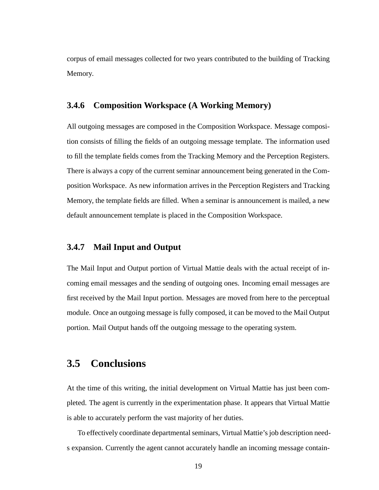corpus of email messages collected for two years contributed to the building of Tracking Memory.

#### **3.4.6 Composition Workspace (A Working Memory)**

All outgoing messages are composed in the Composition Workspace. Message composition consists of filling the fields of an outgoing message template. The information used to fill the template fields comes from the Tracking Memory and the Perception Registers. There is always a copy of the current seminar announcement being generated in the Composition Workspace. As new information arrives in the Perception Registers and Tracking Memory, the template fields are filled. When a seminar is announcement is mailed, a new default announcement template is placed in the Composition Workspace.

#### **3.4.7 Mail Input and Output**

The Mail Input and Output portion of Virtual Mattie deals with the actual receipt of incoming email messages and the sending of outgoing ones. Incoming email messages are first received by the Mail Input portion. Messages are moved from here to the perceptual module. Once an outgoing message is fully composed, it can be moved to the Mail Output portion. Mail Output hands off the outgoing message to the operating system.

### **3.5 Conclusions**

At the time of this writing, the initial development on Virtual Mattie has just been completed. The agent is currently in the experimentation phase. It appears that Virtual Mattie is able to accurately perform the vast majority of her duties.

To effectively coordinate departmental seminars, Virtual Mattie's job description needs expansion. Currently the agent cannot accurately handle an incoming message contain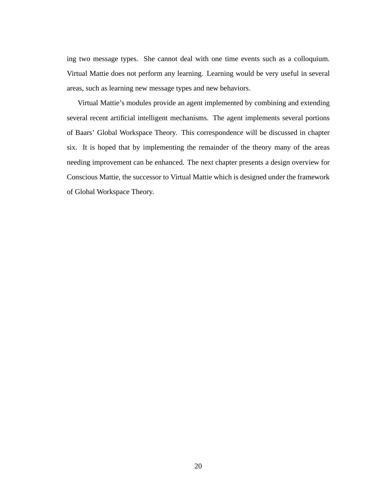ing two message types. She cannot deal with one time events such as a colloquium. Virtual Mattie does not perform any learning. Learning would be very useful in several areas, such as learning new message types and new behaviors.

Virtual Mattie's modules provide an agent implemented by combining and extending several recent artificial intelligent mechanisms. The agent implements several portions of Baars' Global Workspace Theory. This correspondence will be discussed in chapter six. It is hoped that by implementing the remainder of the theory many of the areas needing improvement can be enhanced. The next chapter presents a design overview for Conscious Mattie, the successor to Virtual Mattie which is designed under the framework of Global Workspace Theory.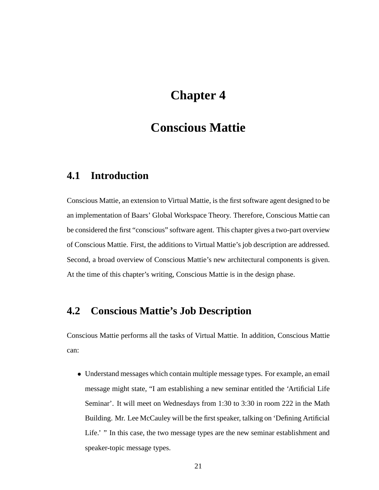# **Chapter 4**

## **Conscious Mattie**

### **4.1 Introduction**

Conscious Mattie, an extension to Virtual Mattie, is the first software agent designed to be an implementation of Baars' Global Workspace Theory. Therefore, Conscious Mattie can be considered the first "conscious" software agent. This chapter gives a two-part overview of Conscious Mattie. First, the additions to Virtual Mattie's job description are addressed. Second, a broad overview of Conscious Mattie's new architectural components is given. At the time of this chapter's writing, Conscious Mattie is in the design phase.

### **4.2 Conscious Mattie's Job Description**

Conscious Mattie performs all the tasks of Virtual Mattie. In addition, Conscious Mattie can:

 Understand messages which contain multiple message types. For example, an email message might state, "I am establishing a new seminar entitled the 'Artificial Life Seminar'. It will meet on Wednesdays from 1:30 to 3:30 in room 222 in the Math Building. Mr. Lee McCauley will be the first speaker, talking on 'Defining Artificial Life.' " In this case, the two message types are the new seminar establishment and speaker-topic message types.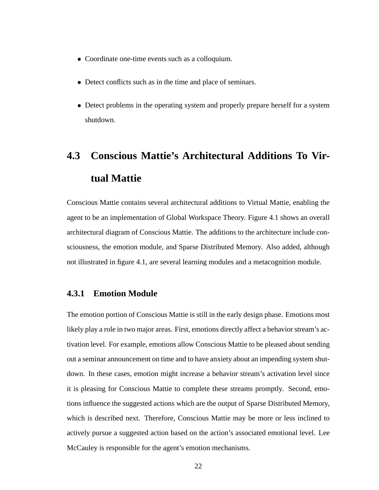- Coordinate one-time events such as a colloquium.
- Detect conflicts such as in the time and place of seminars.
- Detect problems in the operating system and properly prepare herself for a system shutdown.

# **4.3 Conscious Mattie's Architectural Additions To Virtual Mattie**

Conscious Mattie contains several architectural additions to Virtual Mattie, enabling the agent to be an implementation of Global Workspace Theory. Figure 4.1 shows an overall architectural diagram of Conscious Mattie. The additions to the architecture include consciousness, the emotion module, and Sparse Distributed Memory. Also added, although not illustrated in figure 4.1, are several learning modules and a metacognition module.

#### **4.3.1 Emotion Module**

The emotion portion of Conscious Mattie is still in the early design phase. Emotions most likely play a role in two major areas. First, emotions directly affect a behavior stream's activation level. For example, emotions allow Conscious Mattie to be pleased about sending out a seminar announcement on time and to have anxiety about an impending system shutdown. In these cases, emotion might increase a behavior stream's activation level since it is pleasing for Conscious Mattie to complete these streams promptly. Second, emotions influence the suggested actions which are the output of Sparse Distributed Memory, which is described next. Therefore, Conscious Mattie may be more or less inclined to actively pursue a suggested action based on the action's associated emotional level. Lee McCauley is responsible for the agent's emotion mechanisms.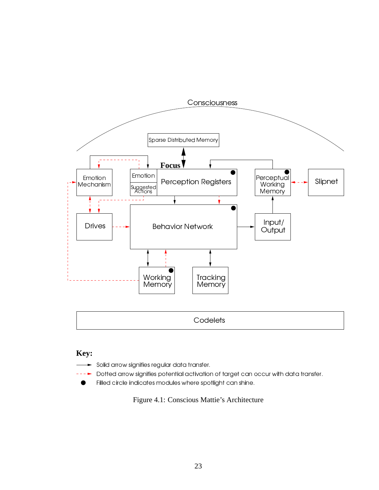

### **Key:**

- $\blacktriangleright$  Solid arrow signifies regular data transfer.
- $\blacktriangleright$ Dotted arrow signifies potential activation of target can occur with data transfer.
	- Filled circle indicates modules where spotlight can shine.

Figure 4.1: Conscious Mattie's Architecture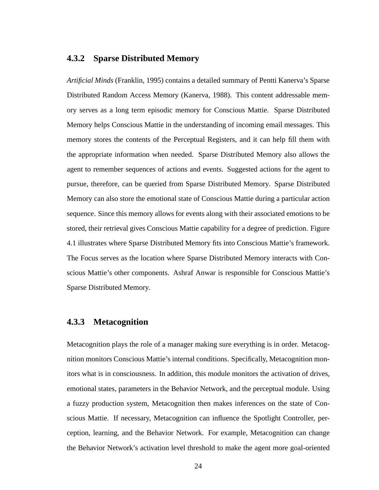#### **4.3.2 Sparse Distributed Memory**

*Artificial Minds* (Franklin, 1995) contains a detailed summary of Pentti Kanerva's Sparse Distributed Random Access Memory (Kanerva, 1988). This content addressable memory serves as a long term episodic memory for Conscious Mattie. Sparse Distributed Memory helps Conscious Mattie in the understanding of incoming email messages. This memory stores the contents of the Perceptual Registers, and it can help fill them with the appropriate information when needed. Sparse Distributed Memory also allows the agent to remember sequences of actions and events. Suggested actions for the agent to pursue, therefore, can be queried from Sparse Distributed Memory. Sparse Distributed Memory can also store the emotional state of Conscious Mattie during a particular action sequence. Since this memory allows for events along with their associated emotions to be stored, their retrieval gives Conscious Mattie capability for a degree of prediction. Figure 4.1 illustrates where Sparse Distributed Memory fits into Conscious Mattie's framework. The Focus serves as the location where Sparse Distributed Memory interacts with Conscious Mattie's other components. Ashraf Anwar is responsible for Conscious Mattie's Sparse Distributed Memory.

#### **4.3.3 Metacognition**

Metacognition plays the role of a manager making sure everything is in order. Metacognition monitors Conscious Mattie's internal conditions. Specifically, Metacognition monitors what is in consciousness. In addition, this module monitors the activation of drives, emotional states, parameters in the Behavior Network, and the perceptual module. Using a fuzzy production system, Metacognition then makes inferences on the state of Conscious Mattie. If necessary, Metacognition can influence the Spotlight Controller, perception, learning, and the Behavior Network. For example, Metacognition can change the Behavior Network's activation level threshold to make the agent more goal-oriented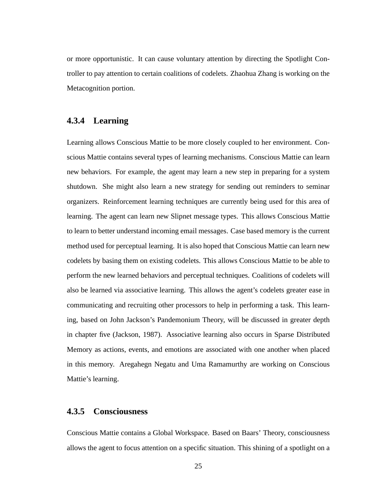or more opportunistic. It can cause voluntary attention by directing the Spotlight Controller to pay attention to certain coalitions of codelets. Zhaohua Zhang is working on the Metacognition portion.

#### **4.3.4 Learning**

Learning allows Conscious Mattie to be more closely coupled to her environment. Conscious Mattie contains several types of learning mechanisms. Conscious Mattie can learn new behaviors. For example, the agent may learn a new step in preparing for a system shutdown. She might also learn a new strategy for sending out reminders to seminar organizers. Reinforcement learning techniques are currently being used for this area of learning. The agent can learn new Slipnet message types. This allows Conscious Mattie to learn to better understand incoming email messages. Case based memory is the current method used for perceptual learning. It is also hoped that Conscious Mattie can learn new codelets by basing them on existing codelets. This allows Conscious Mattie to be able to perform the new learned behaviors and perceptual techniques. Coalitions of codelets will also be learned via associative learning. This allows the agent's codelets greater ease in communicating and recruiting other processors to help in performing a task. This learning, based on John Jackson's Pandemonium Theory, will be discussed in greater depth in chapter five (Jackson, 1987). Associative learning also occurs in Sparse Distributed Memory as actions, events, and emotions are associated with one another when placed in this memory. Aregahegn Negatu and Uma Ramamurthy are working on Conscious Mattie's learning.

#### **4.3.5 Consciousness**

Conscious Mattie contains a Global Workspace. Based on Baars' Theory, consciousness allows the agent to focus attention on a specific situation. This shining of a spotlight on a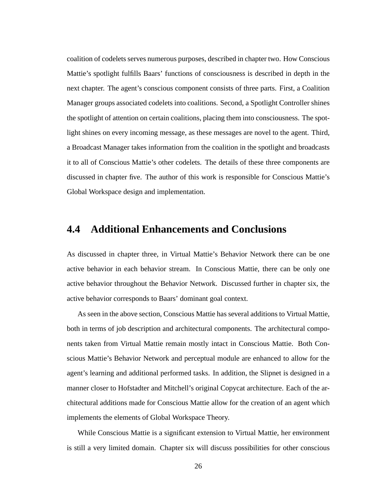coalition of codelets serves numerous purposes, described in chapter two. How Conscious Mattie's spotlight fulfills Baars' functions of consciousness is described in depth in the next chapter. The agent's conscious component consists of three parts. First, a Coalition Manager groups associated codelets into coalitions. Second, a Spotlight Controller shines the spotlight of attention on certain coalitions, placing them into consciousness. The spotlight shines on every incoming message, as these messages are novel to the agent. Third, a Broadcast Manager takes information from the coalition in the spotlight and broadcasts it to all of Conscious Mattie's other codelets. The details of these three components are discussed in chapter five. The author of this work is responsible for Conscious Mattie's Global Workspace design and implementation.

### **4.4 Additional Enhancements and Conclusions**

As discussed in chapter three, in Virtual Mattie's Behavior Network there can be one active behavior in each behavior stream. In Conscious Mattie, there can be only one active behavior throughout the Behavior Network. Discussed further in chapter six, the active behavior corresponds to Baars' dominant goal context.

As seen in the above section, Conscious Mattie has several additions to Virtual Mattie, both in terms of job description and architectural components. The architectural components taken from Virtual Mattie remain mostly intact in Conscious Mattie. Both Conscious Mattie's Behavior Network and perceptual module are enhanced to allow for the agent's learning and additional performed tasks. In addition, the Slipnet is designed in a manner closer to Hofstadter and Mitchell's original Copycat architecture. Each of the architectural additions made for Conscious Mattie allow for the creation of an agent which implements the elements of Global Workspace Theory.

While Conscious Mattie is a significant extension to Virtual Mattie, her environment is still a very limited domain. Chapter six will discuss possibilities for other conscious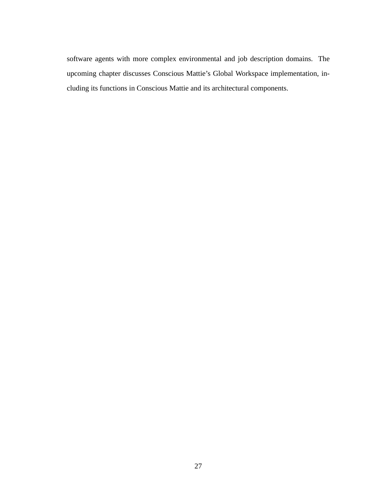software agents with more complex environmental and job description domains. The upcoming chapter discusses Conscious Mattie's Global Workspace implementation, including its functions in Conscious Mattie and its architectural components.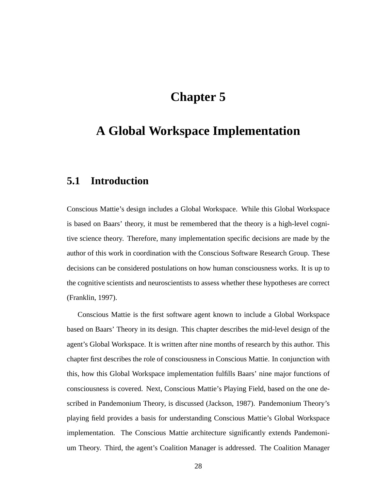# **Chapter 5**

# **A Global Workspace Implementation**

### **5.1 Introduction**

Conscious Mattie's design includes a Global Workspace. While this Global Workspace is based on Baars' theory, it must be remembered that the theory is a high-level cognitive science theory. Therefore, many implementation specific decisions are made by the author of this work in coordination with the Conscious Software Research Group. These decisions can be considered postulations on how human consciousness works. It is up to the cognitive scientists and neuroscientists to assess whether these hypotheses are correct (Franklin, 1997).

Conscious Mattie is the first software agent known to include a Global Workspace based on Baars' Theory in its design. This chapter describes the mid-level design of the agent's Global Workspace. It is written after nine months of research by this author. This chapter first describes the role of consciousness in Conscious Mattie. In conjunction with this, how this Global Workspace implementation fulfills Baars' nine major functions of consciousness is covered. Next, Conscious Mattie's Playing Field, based on the one described in Pandemonium Theory, is discussed (Jackson, 1987). Pandemonium Theory's playing field provides a basis for understanding Conscious Mattie's Global Workspace implementation. The Conscious Mattie architecture significantly extends Pandemonium Theory. Third, the agent's Coalition Manager is addressed. The Coalition Manager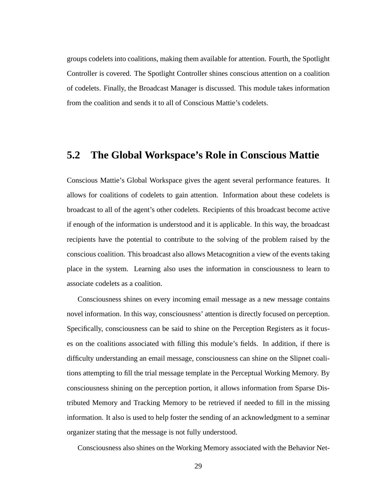groups codelets into coalitions, making them available for attention. Fourth, the Spotlight Controller is covered. The Spotlight Controller shines conscious attention on a coalition of codelets. Finally, the Broadcast Manager is discussed. This module takes information from the coalition and sends it to all of Conscious Mattie's codelets.

### **5.2 The Global Workspace's Role in Conscious Mattie**

Conscious Mattie's Global Workspace gives the agent several performance features. It allows for coalitions of codelets to gain attention. Information about these codelets is broadcast to all of the agent's other codelets. Recipients of this broadcast become active if enough of the information is understood and it is applicable. In this way, the broadcast recipients have the potential to contribute to the solving of the problem raised by the conscious coalition. This broadcast also allows Metacognition a view of the events taking place in the system. Learning also uses the information in consciousness to learn to associate codelets as a coalition.

Consciousness shines on every incoming email message as a new message contains novel information. In this way, consciousness' attention is directly focused on perception. Specifically, consciousness can be said to shine on the Perception Registers as it focuses on the coalitions associated with filling this module's fields. In addition, if there is difficulty understanding an email message, consciousness can shine on the Slipnet coalitions attempting to fill the trial message template in the Perceptual Working Memory. By consciousness shining on the perception portion, it allows information from Sparse Distributed Memory and Tracking Memory to be retrieved if needed to fill in the missing information. It also is used to help foster the sending of an acknowledgment to a seminar organizer stating that the message is not fully understood.

Consciousness also shines on the Working Memory associated with the Behavior Net-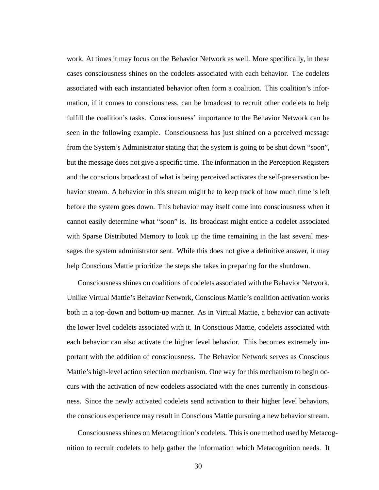work. At times it may focus on the Behavior Network as well. More specifically, in these cases consciousness shines on the codelets associated with each behavior. The codelets associated with each instantiated behavior often form a coalition. This coalition's information, if it comes to consciousness, can be broadcast to recruit other codelets to help fulfill the coalition's tasks. Consciousness' importance to the Behavior Network can be seen in the following example. Consciousness has just shined on a perceived message from the System's Administrator stating that the system is going to be shut down "soon", but the message does not give a specific time. The information in the Perception Registers and the conscious broadcast of what is being perceived activates the self-preservation behavior stream. A behavior in this stream might be to keep track of how much time is left before the system goes down. This behavior may itself come into consciousness when it cannot easily determine what "soon" is. Its broadcast might entice a codelet associated with Sparse Distributed Memory to look up the time remaining in the last several messages the system administrator sent. While this does not give a definitive answer, it may help Conscious Mattie prioritize the steps she takes in preparing for the shutdown.

Consciousness shines on coalitions of codelets associated with the Behavior Network. Unlike Virtual Mattie's Behavior Network, Conscious Mattie's coalition activation works both in a top-down and bottom-up manner. As in Virtual Mattie, a behavior can activate the lower level codelets associated with it. In Conscious Mattie, codelets associated with each behavior can also activate the higher level behavior. This becomes extremely important with the addition of consciousness. The Behavior Network serves as Conscious Mattie's high-level action selection mechanism. One way for this mechanism to begin occurs with the activation of new codelets associated with the ones currently in consciousness. Since the newly activated codelets send activation to their higher level behaviors, the conscious experience may result in Conscious Mattie pursuing a new behavior stream.

Consciousnessshines on Metacognition's codelets. Thisis one method used by Metacognition to recruit codelets to help gather the information which Metacognition needs. It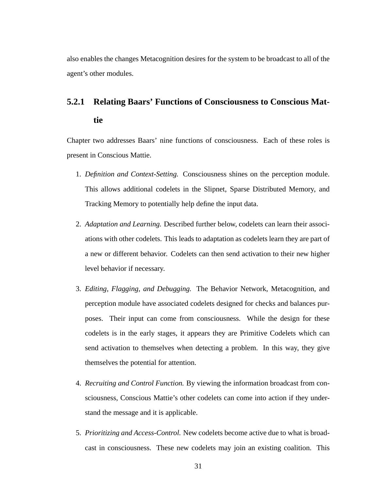also enables the changes Metacognition desires for the system to be broadcast to all of the agent's other modules.

# **5.2.1 Relating Baars' Functions of Consciousness to Conscious Mattie**

Chapter two addresses Baars' nine functions of consciousness. Each of these roles is present in Conscious Mattie.

- 1. *Definition and Context-Setting.* Consciousness shines on the perception module. This allows additional codelets in the Slipnet, Sparse Distributed Memory, and Tracking Memory to potentially help define the input data.
- 2. *Adaptation and Learning.* Described further below, codelets can learn their associations with other codelets. This leads to adaptation as codelets learn they are part of a new or different behavior. Codelets can then send activation to their new higher level behavior if necessary.
- 3. *Editing, Flagging, and Debugging.* The Behavior Network, Metacognition, and perception module have associated codelets designed for checks and balances purposes. Their input can come from consciousness. While the design for these codelets is in the early stages, it appears they are Primitive Codelets which can send activation to themselves when detecting a problem. In this way, they give themselves the potential for attention.
- 4. *Recruiting and Control Function.* By viewing the information broadcast from consciousness, Conscious Mattie's other codelets can come into action if they understand the message and it is applicable.
- 5. *Prioritizing and Access-Control.* New codelets become active due to what is broadcast in consciousness. These new codelets may join an existing coalition. This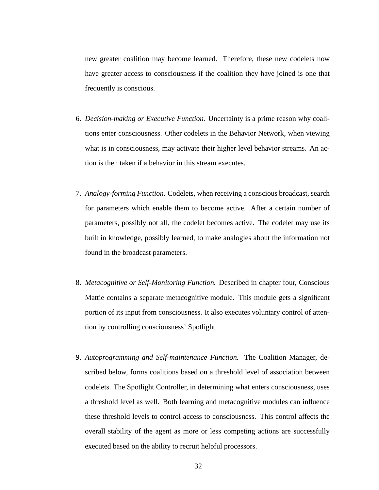new greater coalition may become learned. Therefore, these new codelets now have greater access to consciousness if the coalition they have joined is one that frequently is conscious.

- 6. *Decision-making or Executive Function.* Uncertainty is a prime reason why coalitions enter consciousness. Other codelets in the Behavior Network, when viewing what is in consciousness, may activate their higher level behavior streams. An action is then taken if a behavior in this stream executes.
- 7. *Analogy-forming Function.* Codelets, when receiving a conscious broadcast, search for parameters which enable them to become active. After a certain number of parameters, possibly not all, the codelet becomes active. The codelet may use its built in knowledge, possibly learned, to make analogies about the information not found in the broadcast parameters.
- 8. *Metacognitive or Self-Monitoring Function.* Described in chapter four, Conscious Mattie contains a separate metacognitive module. This module gets a significant portion of its input from consciousness. It also executes voluntary control of attention by controlling consciousness' Spotlight.
- 9. *Autoprogramming and Self-maintenance Function.* The Coalition Manager, described below, forms coalitions based on a threshold level of association between codelets. The Spotlight Controller, in determining what enters consciousness, uses a threshold level as well. Both learning and metacognitive modules can influence these threshold levels to control access to consciousness. This control affects the overall stability of the agent as more or less competing actions are successfully executed based on the ability to recruit helpful processors.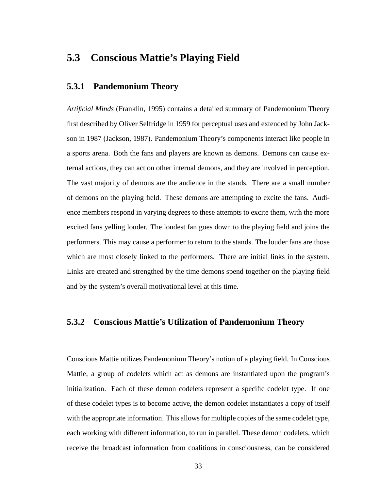### **5.3 Conscious Mattie's Playing Field**

#### **5.3.1 Pandemonium Theory**

*Artificial Minds* (Franklin, 1995) contains a detailed summary of Pandemonium Theory first described by Oliver Selfridge in 1959 for perceptual uses and extended by John Jackson in 1987 (Jackson, 1987). Pandemonium Theory's components interact like people in a sports arena. Both the fans and players are known as demons. Demons can cause external actions, they can act on other internal demons, and they are involved in perception. The vast majority of demons are the audience in the stands. There are a small number of demons on the playing field. These demons are attempting to excite the fans. Audience members respond in varying degrees to these attempts to excite them, with the more excited fans yelling louder. The loudest fan goes down to the playing field and joins the performers. This may cause a performer to return to the stands. The louder fans are those which are most closely linked to the performers. There are initial links in the system. Links are created and strengthed by the time demons spend together on the playing field and by the system's overall motivational level at this time.

#### **5.3.2 Conscious Mattie's Utilization of Pandemonium Theory**

Conscious Mattie utilizes Pandemonium Theory's notion of a playing field. In Conscious Mattie, a group of codelets which act as demons are instantiated upon the program's initialization. Each of these demon codelets represent a specific codelet type. If one of these codelet types is to become active, the demon codelet instantiates a copy of itself with the appropriate information. This allows for multiple copies of the same codelet type, each working with different information, to run in parallel. These demon codelets, which receive the broadcast information from coalitions in consciousness, can be considered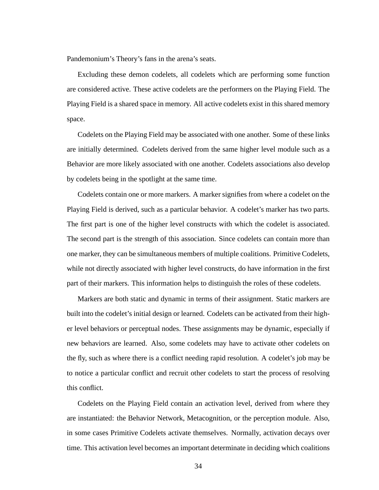Pandemonium's Theory's fans in the arena's seats.

Excluding these demon codelets, all codelets which are performing some function are considered active. These active codelets are the performers on the Playing Field. The Playing Field is a shared space in memory. All active codelets exist in this shared memory space.

Codelets on the Playing Field may be associated with one another. Some of these links are initially determined. Codelets derived from the same higher level module such as a Behavior are more likely associated with one another. Codelets associations also develop by codelets being in the spotlight at the same time.

Codelets contain one or more markers. A marker signifies from where a codelet on the Playing Field is derived, such as a particular behavior. A codelet's marker has two parts. The first part is one of the higher level constructs with which the codelet is associated. The second part is the strength of this association. Since codelets can contain more than one marker, they can be simultaneous members of multiple coalitions. Primitive Codelets, while not directly associated with higher level constructs, do have information in the first part of their markers. This information helps to distinguish the roles of these codelets.

Markers are both static and dynamic in terms of their assignment. Static markers are built into the codelet's initial design or learned. Codelets can be activated from their higher level behaviors or perceptual nodes. These assignments may be dynamic, especially if new behaviors are learned. Also, some codelets may have to activate other codelets on the fly, such as where there is a conflict needing rapid resolution. A codelet's job may be to notice a particular conflict and recruit other codelets to start the process of resolving this conflict.

Codelets on the Playing Field contain an activation level, derived from where they are instantiated: the Behavior Network, Metacognition, or the perception module. Also, in some cases Primitive Codelets activate themselves. Normally, activation decays over time. This activation level becomes an important determinate in deciding which coalitions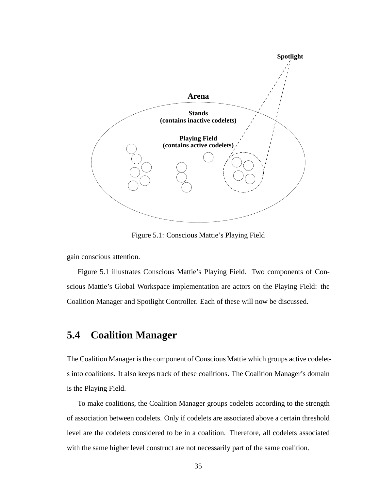

Figure 5.1: Conscious Mattie's Playing Field

gain conscious attention.

Figure 5.1 illustrates Conscious Mattie's Playing Field. Two components of Conscious Mattie's Global Workspace implementation are actors on the Playing Field: the Coalition Manager and Spotlight Controller. Each of these will now be discussed.

### **5.4 Coalition Manager**

The Coalition Manager is the component of Conscious Mattie which groups active codelets into coalitions. It also keeps track of these coalitions. The Coalition Manager's domain is the Playing Field.

To make coalitions, the Coalition Manager groups codelets according to the strength of association between codelets. Only if codelets are associated above a certain threshold level are the codelets considered to be in a coalition. Therefore, all codelets associated with the same higher level construct are not necessarily part of the same coalition.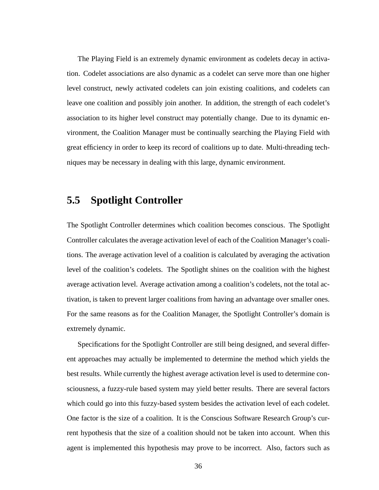The Playing Field is an extremely dynamic environment as codelets decay in activation. Codelet associations are also dynamic as a codelet can serve more than one higher level construct, newly activated codelets can join existing coalitions, and codelets can leave one coalition and possibly join another. In addition, the strength of each codelet's association to its higher level construct may potentially change. Due to its dynamic environment, the Coalition Manager must be continually searching the Playing Field with great efficiency in order to keep its record of coalitions up to date. Multi-threading techniques may be necessary in dealing with this large, dynamic environment.

### **5.5 Spotlight Controller**

The Spotlight Controller determines which coalition becomes conscious. The Spotlight Controller calculates the average activation level of each of the Coalition Manager's coalitions. The average activation level of a coalition is calculated by averaging the activation level of the coalition's codelets. The Spotlight shines on the coalition with the highest average activation level. Average activation among a coalition's codelets, not the total activation, is taken to prevent larger coalitions from having an advantage over smaller ones. For the same reasons as for the Coalition Manager, the Spotlight Controller's domain is extremely dynamic.

Specifications for the Spotlight Controller are still being designed, and several different approaches may actually be implemented to determine the method which yields the best results. While currently the highest average activation level is used to determine consciousness, a fuzzy-rule based system may yield better results. There are several factors which could go into this fuzzy-based system besides the activation level of each codelet. One factor is the size of a coalition. It is the Conscious Software Research Group's current hypothesis that the size of a coalition should not be taken into account. When this agent is implemented this hypothesis may prove to be incorrect. Also, factors such as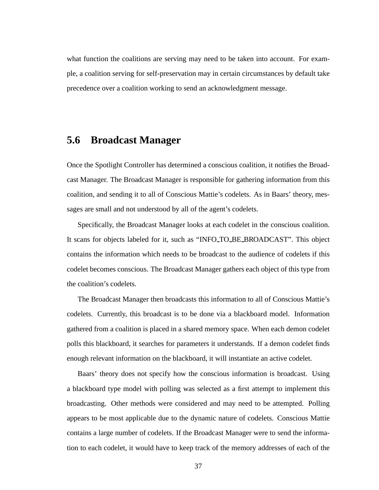what function the coalitions are serving may need to be taken into account. For example, a coalition serving for self-preservation may in certain circumstances by default take precedence over a coalition working to send an acknowledgment message.

### **5.6 Broadcast Manager**

Once the Spotlight Controller has determined a conscious coalition, it notifies the Broadcast Manager. The Broadcast Manager is responsible for gathering information from this coalition, and sending it to all of Conscious Mattie's codelets. As in Baars' theory, messages are small and not understood by all of the agent's codelets.

Specifically, the Broadcast Manager looks at each codelet in the conscious coalition. It scans for objects labeled for it, such as "INFO TO BE BROADCAST". This object contains the information which needs to be broadcast to the audience of codelets if this codelet becomes conscious. The Broadcast Manager gathers each object of this type from the coalition's codelets.

The Broadcast Manager then broadcasts this information to all of Conscious Mattie's codelets. Currently, this broadcast is to be done via a blackboard model. Information gathered from a coalition is placed in a shared memory space. When each demon codelet polls this blackboard, it searches for parameters it understands. If a demon codelet finds enough relevant information on the blackboard, it will instantiate an active codelet.

Baars' theory does not specify how the conscious information is broadcast. Using a blackboard type model with polling was selected as a first attempt to implement this broadcasting. Other methods were considered and may need to be attempted. Polling appears to be most applicable due to the dynamic nature of codelets. Conscious Mattie contains a large number of codelets. If the Broadcast Manager were to send the information to each codelet, it would have to keep track of the memory addresses of each of the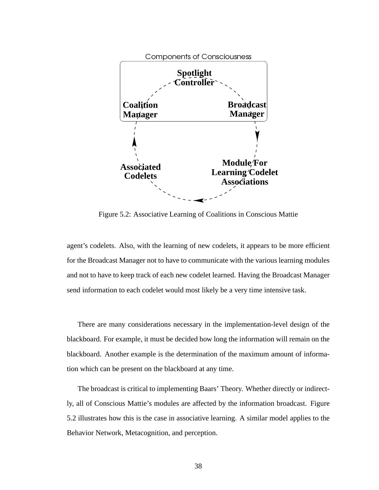

Figure 5.2: Associative Learning of Coalitions in Conscious Mattie

agent's codelets. Also, with the learning of new codelets, it appears to be more efficient for the Broadcast Manager not to have to communicate with the various learning modules and not to have to keep track of each new codelet learned. Having the Broadcast Manager send information to each codelet would most likely be a very time intensive task.

There are many considerations necessary in the implementation-level design of the blackboard. For example, it must be decided how long the information will remain on the blackboard. Another example is the determination of the maximum amount of information which can be present on the blackboard at any time.

The broadcast is critical to implementing Baars' Theory. Whether directly or indirectly, all of Conscious Mattie's modules are affected by the information broadcast. Figure 5.2 illustrates how this is the case in associative learning. A similar model applies to the Behavior Network, Metacognition, and perception.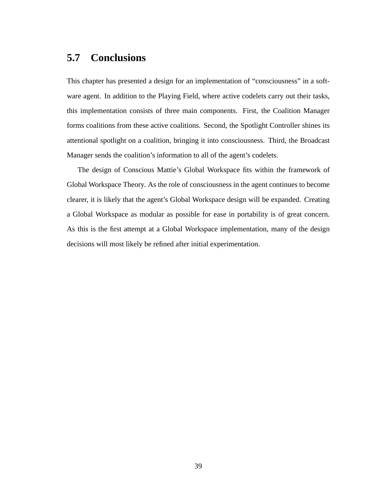### **5.7 Conclusions**

This chapter has presented a design for an implementation of "consciousness" in a software agent. In addition to the Playing Field, where active codelets carry out their tasks, this implementation consists of three main components. First, the Coalition Manager forms coalitions from these active coalitions. Second, the Spotlight Controller shines its attentional spotlight on a coalition, bringing it into consciousness. Third, the Broadcast Manager sends the coalition's information to all of the agent's codelets.

The design of Conscious Mattie's Global Workspace fits within the framework of Global Workspace Theory. As the role of consciousness in the agent continues to become clearer, it is likely that the agent's Global Workspace design will be expanded. Creating a Global Workspace as modular as possible for ease in portability is of great concern. As this is the first attempt at a Global Workspace implementation, many of the design decisions will most likely be refined after initial experimentation.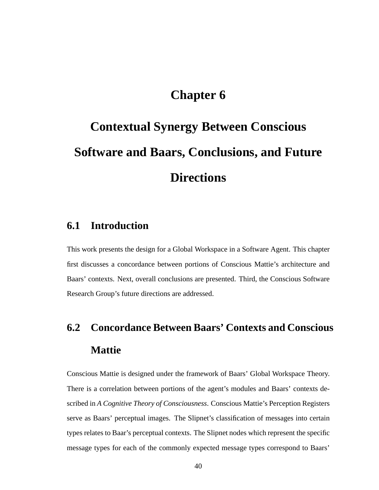# **Chapter 6**

# **Contextual Synergy Between Conscious Software and Baars, Conclusions, and Future Directions**

### **6.1 Introduction**

This work presents the design for a Global Workspace in a Software Agent. This chapter first discusses a concordance between portions of Conscious Mattie's architecture and Baars' contexts. Next, overall conclusions are presented. Third, the Conscious Software Research Group's future directions are addressed.

# **6.2 Concordance Between Baars' Contexts and Conscious Mattie**

Conscious Mattie is designed under the framework of Baars' Global Workspace Theory. There is a correlation between portions of the agent's modules and Baars' contexts described in *A Cognitive Theory of Consciousness*. Conscious Mattie's Perception Registers serve as Baars' perceptual images. The Slipnet's classification of messages into certain types relates to Baar's perceptual contexts. The Slipnet nodes which represent the specific message types for each of the commonly expected message types correspond to Baars'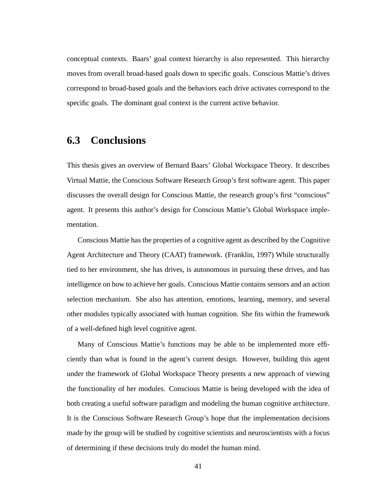conceptual contexts. Baars' goal context hierarchy is also represented. This hierarchy moves from overall broad-based goals down to specific goals. Conscious Mattie's drives correspond to broad-based goals and the behaviors each drive activates correspond to the specific goals. The dominant goal context is the current active behavior.

### **6.3 Conclusions**

This thesis gives an overview of Bernard Baars' Global Workspace Theory. It describes Virtual Mattie, the Conscious Software Research Group's first software agent. This paper discusses the overall design for Conscious Mattie, the research group's first "conscious" agent. It presents this author's design for Conscious Mattie's Global Workspace implementation.

Conscious Mattie has the properties of a cognitive agent as described by the Cognitive Agent Architecture and Theory (CAAT) framework. (Franklin, 1997) While structurally tied to her environment, she has drives, is autonomous in pursuing these drives, and has intelligence on how to achieve her goals. Conscious Mattie contains sensors and an action selection mechanism. She also has attention, emotions, learning, memory, and several other modules typically associated with human cognition. She fits within the framework of a well-defined high level cognitive agent.

Many of Conscious Mattie's functions may be able to be implemented more efficiently than what is found in the agent's current design. However, building this agent under the framework of Global Workspace Theory presents a new approach of viewing the functionality of her modules. Conscious Mattie is being developed with the idea of both creating a useful software paradigm and modeling the human cognitive architecture. It is the Conscious Software Research Group's hope that the implementation decisions made by the group will be studied by cognitive scientists and neuroscientists with a focus of determining if these decisions truly do model the human mind.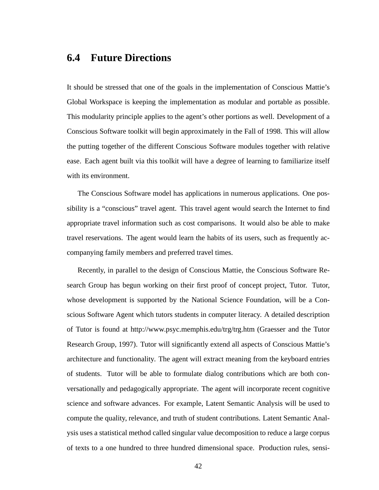### **6.4 Future Directions**

It should be stressed that one of the goals in the implementation of Conscious Mattie's Global Workspace is keeping the implementation as modular and portable as possible. This modularity principle applies to the agent's other portions as well. Development of a Conscious Software toolkit will begin approximately in the Fall of 1998. This will allow the putting together of the different Conscious Software modules together with relative ease. Each agent built via this toolkit will have a degree of learning to familiarize itself with its environment.

The Conscious Software model has applications in numerous applications. One possibility is a "conscious" travel agent. This travel agent would search the Internet to find appropriate travel information such as cost comparisons. It would also be able to make travel reservations. The agent would learn the habits of its users, such as frequently accompanying family members and preferred travel times.

Recently, in parallel to the design of Conscious Mattie, the Conscious Software Research Group has begun working on their first proof of concept project, Tutor. Tutor, whose development is supported by the National Science Foundation, will be a Conscious Software Agent which tutors students in computer literacy. A detailed description of Tutor is found at http://www.psyc.memphis.edu/trg/trg.htm (Graesser and the Tutor Research Group, 1997). Tutor will significantly extend all aspects of Conscious Mattie's architecture and functionality. The agent will extract meaning from the keyboard entries of students. Tutor will be able to formulate dialog contributions which are both conversationally and pedagogically appropriate. The agent will incorporate recent cognitive science and software advances. For example, Latent Semantic Analysis will be used to compute the quality, relevance, and truth of student contributions. Latent Semantic Analysis uses a statistical method called singular value decomposition to reduce a large corpus of texts to a one hundred to three hundred dimensional space. Production rules, sensi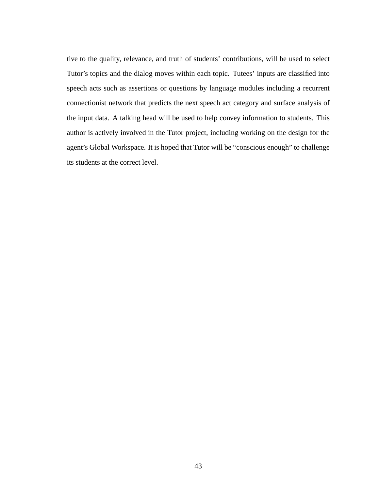tive to the quality, relevance, and truth of students' contributions, will be used to select Tutor's topics and the dialog moves within each topic. Tutees' inputs are classified into speech acts such as assertions or questions by language modules including a recurrent connectionist network that predicts the next speech act category and surface analysis of the input data. A talking head will be used to help convey information to students. This author is actively involved in the Tutor project, including working on the design for the agent's Global Workspace. It is hoped that Tutor will be "conscious enough" to challenge its students at the correct level.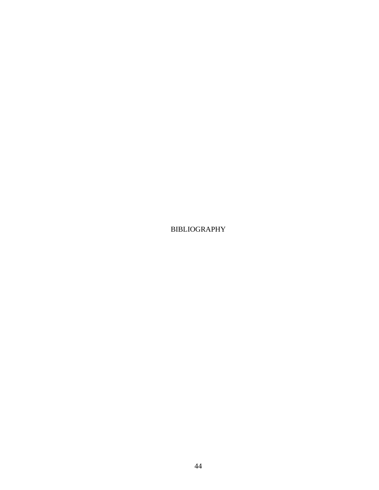BIBLIOGRAPHY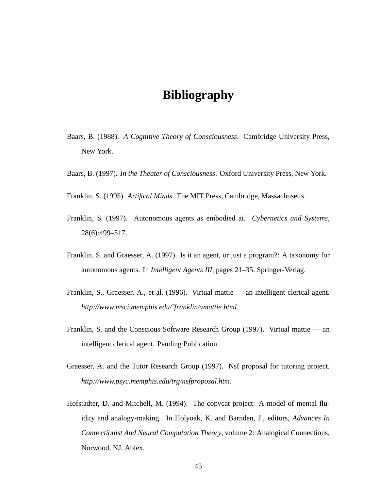## **Bibliography**

- Baars, B. (1988). *A Cognitive Theory of Consciousness*. Cambridge University Press, New York.
- Baars, B. (1997). *In the Theater of Consciousness*. Oxford University Press, New York.
- Franklin, S. (1995). *Artifical Minds*. The MIT Press, Cambridge, Massachusetts.
- Franklin, S. (1997). Autonomous agents as embodied ai. *Cybernetics and Systems*, 28(6):499–517.
- Franklin, S. and Graesser, A. (1997). Is it an agent, or just a program?: A taxonomy for autonomous agents. In *Intelligent Agents III*, pages 21–35. Springer-Verlag.
- Franklin, S., Graesser, A., et al. (1996). Virtual mattie an intelligent clerical agent. *http://www.msci.memphis.edu/˜franklin/vmattie.html*.
- Franklin, S. and the Conscious Software Research Group (1997). Virtual mattie an intelligent clerical agent. Pending Publication.
- Graesser, A. and the Tutor Research Group (1997). Nsf proposal for tutoring project. *http://www.psyc.memphis.edu/trg/nsfproposal.htm*.
- Hofstadter, D. and Mitchell, M. (1994). The copycat project: A model of mental fluidity and analogy-making. In Holyoak, K. and Barnden, J., editors, *Advances In Connectionist And Neural Computation Theory*, volume 2: Analogical Connections, Norwood, NJ. Ablex.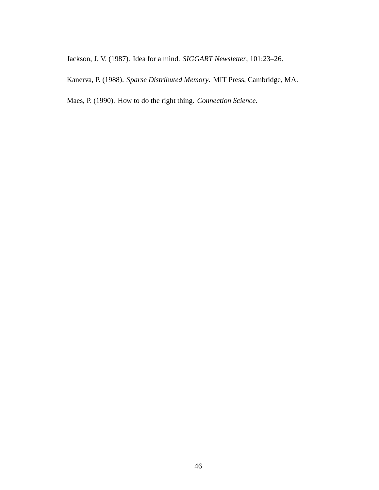Jackson, J. V. (1987). Idea for a mind. *SIGGART Newsletter*, 101:23–26.

Kanerva, P. (1988). *Sparse Distributed Memory*. MIT Press, Cambridge, MA.

Maes, P. (1990). How to do the right thing. *Connection Science*.